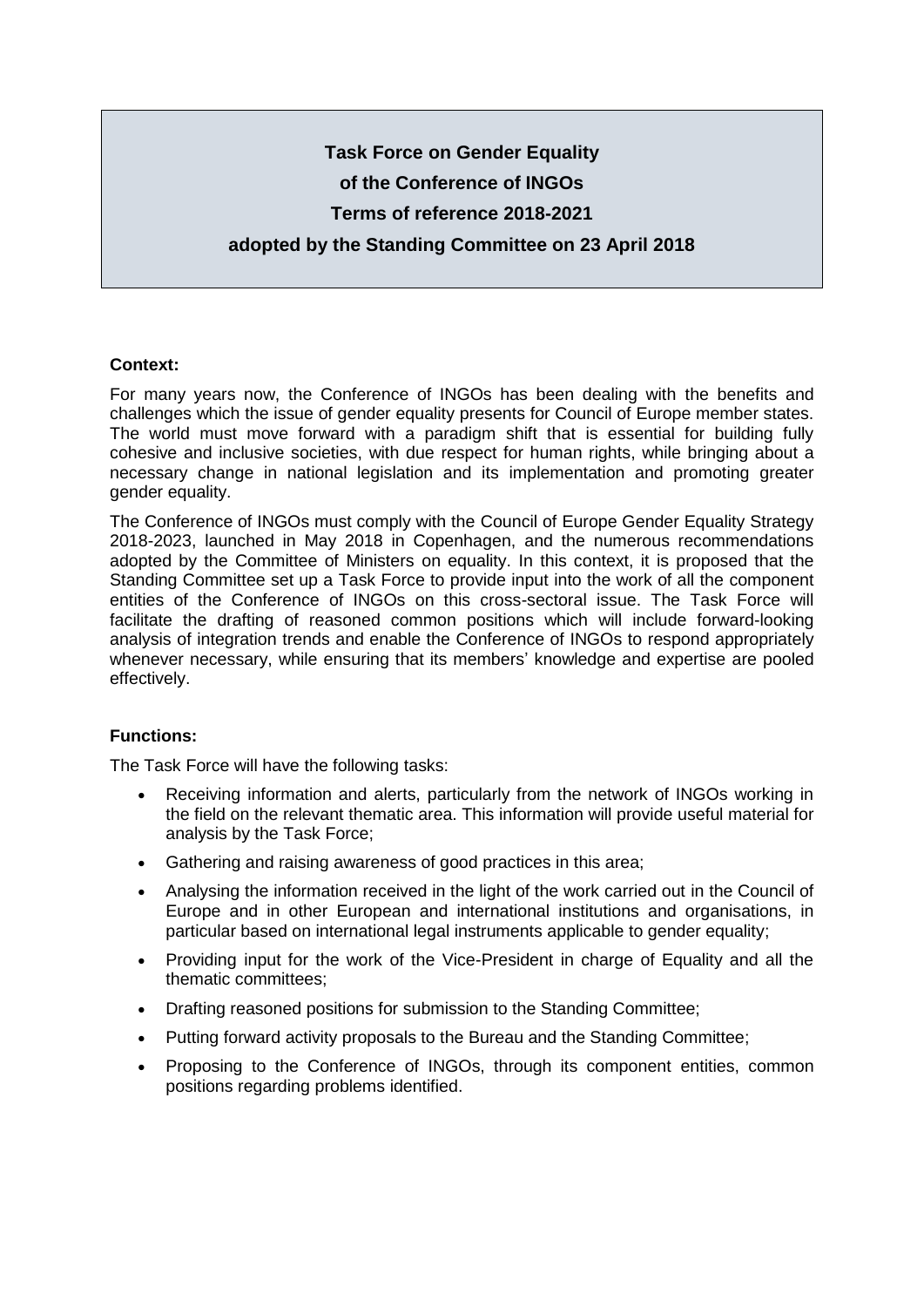# **Task Force on Gender Equality of the Conference of INGOs Terms of reference 2018-2021 adopted by the Standing Committee on 23 April 2018**

## **Context:**

For many years now, the Conference of INGOs has been dealing with the benefits and challenges which the issue of gender equality presents for Council of Europe member states. The world must move forward with a paradigm shift that is essential for building fully cohesive and inclusive societies, with due respect for human rights, while bringing about a necessary change in national legislation and its implementation and promoting greater gender equality.

The Conference of INGOs must comply with the Council of Europe Gender Equality Strategy 2018-2023, launched in May 2018 in Copenhagen, and the numerous recommendations adopted by the Committee of Ministers on equality. In this context, it is proposed that the Standing Committee set up a Task Force to provide input into the work of all the component entities of the Conference of INGOs on this cross-sectoral issue. The Task Force will facilitate the drafting of reasoned common positions which will include forward-looking analysis of integration trends and enable the Conference of INGOs to respond appropriately whenever necessary, while ensuring that its members' knowledge and expertise are pooled effectively.

## **Functions:**

The Task Force will have the following tasks:

- Receiving information and alerts, particularly from the network of INGOs working in the field on the relevant thematic area. This information will provide useful material for analysis by the Task Force;
- Gathering and raising awareness of good practices in this area;
- Analysing the information received in the light of the work carried out in the Council of Europe and in other European and international institutions and organisations, in particular based on international legal instruments applicable to gender equality;
- Providing input for the work of the Vice-President in charge of Equality and all the thematic committees;
- Drafting reasoned positions for submission to the Standing Committee;
- Putting forward activity proposals to the Bureau and the Standing Committee;
- Proposing to the Conference of INGOs, through its component entities, common positions regarding problems identified.